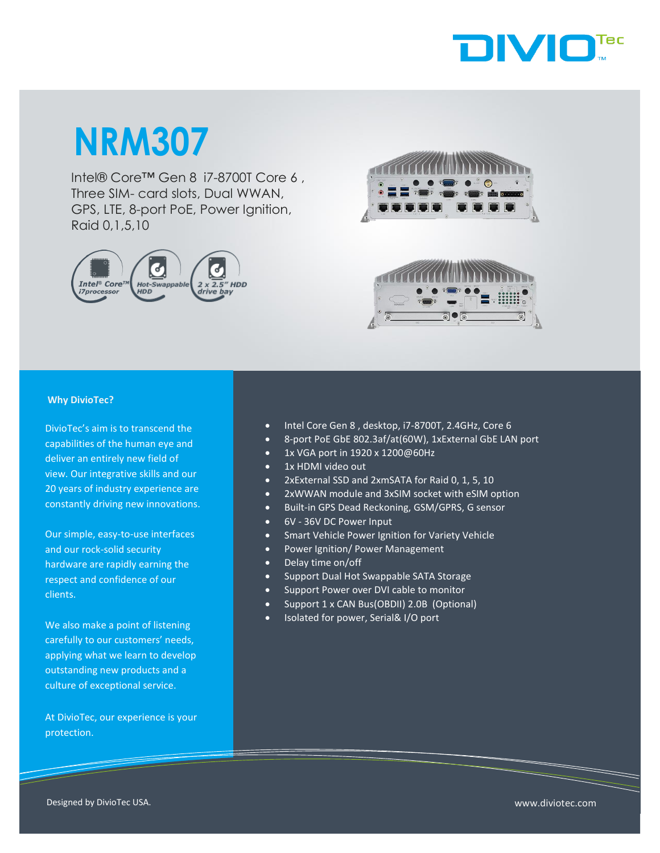

## **NRM307**

Intel® Core™ Gen 8 i7-8700T Core 6 , Three SIM- card slots, Dual WWAN, GPS, LTE, 8-port PoE, Power Ignition, Raid 0,1,5,10







## **Why DivioTec?**

DivioTec's aim is to transcend the capabilities of the human eye and deliver an entirely new field of view. Our integrative skills and our 20 years of industry experience are constantly driving new innovations.

Our simple, easy-to-use interfaces and our rock-solid security hardware are rapidly earning the respect and confidence of our clients.

We also make a point of listening carefully to our customers' needs, applying what we learn to develop outstanding new products and a culture of exceptional service.

At DivioTec, our experience is your protection.

- Intel Core Gen 8 , desktop, i7-8700T, 2.4GHz, Core 6
- 8-port PoE GbE 802.3af/at(60W), 1xExternal GbE LAN port
- 1x VGA port in 1920 x 1200@60Hz
- 1x HDMI video out
- 2xExternal SSD and 2xmSATA for Raid 0, 1, 5, 10
- 2xWWAN module and 3xSIM socket with eSIM option
- Built-in GPS Dead Reckoning, GSM/GPRS, G sensor
- 6V 36V DC Power Input
- Smart Vehicle Power Ignition for Variety Vehicle
- Power Ignition/ Power Management
- Delay time on/off
- Support Dual Hot Swappable SATA Storage
- Support Power over DVI cable to monitor
- Support 1 x CAN Bus(OBDII) 2.0B (Optional)
- Isolated for power, Serial& I/O port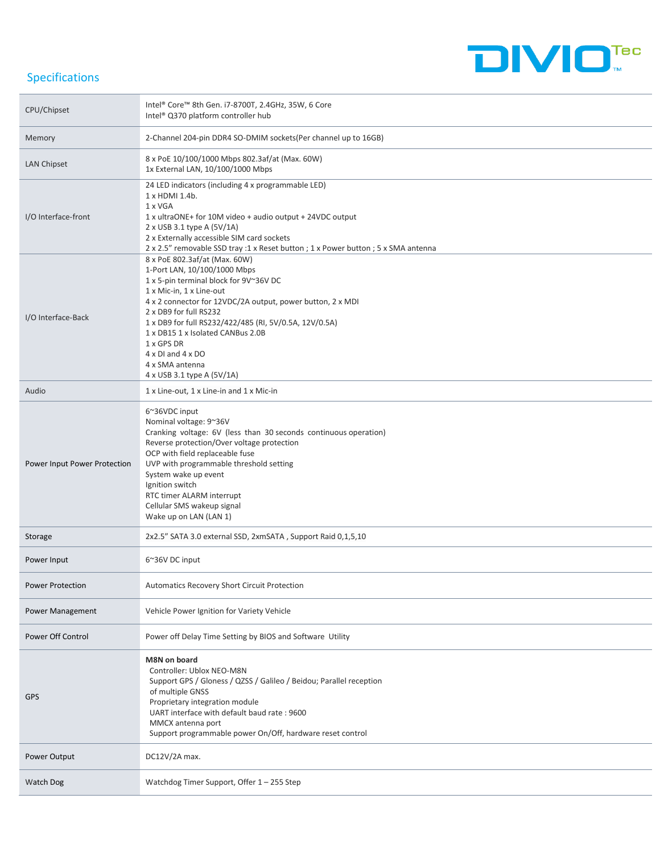

## Specifications

| CPU/Chipset                  | Intel® Core™ 8th Gen. i7-8700T, 2.4GHz, 35W, 6 Core<br>Intel® Q370 platform controller hub                                                                                                                                                                                                                                                                                                                                   |
|------------------------------|------------------------------------------------------------------------------------------------------------------------------------------------------------------------------------------------------------------------------------------------------------------------------------------------------------------------------------------------------------------------------------------------------------------------------|
| Memory                       | 2-Channel 204-pin DDR4 SO-DMIM sockets(Per channel up to 16GB)                                                                                                                                                                                                                                                                                                                                                               |
| LAN Chipset                  | 8 x PoE 10/100/1000 Mbps 802.3af/at (Max. 60W)<br>1x External LAN, 10/100/1000 Mbps                                                                                                                                                                                                                                                                                                                                          |
| I/O Interface-front          | 24 LED indicators (including 4 x programmable LED)<br>1 x HDMI 1.4b.<br>1 x VGA<br>1 x ultraONE+ for 10M video + audio output + 24VDC output<br>2 x USB 3.1 type A (5V/1A)<br>2 x Externally accessible SIM card sockets<br>2 x 2.5" removable SSD tray :1 x Reset button ; 1 x Power button ; 5 x SMA antenna                                                                                                               |
| I/O Interface-Back           | 8 x PoE 802.3af/at (Max. 60W)<br>1-Port LAN, 10/100/1000 Mbps<br>1 x 5-pin terminal block for 9V~36V DC<br>1 x Mic-in, 1 x Line-out<br>4 x 2 connector for 12VDC/2A output, power button, 2 x MDI<br>2 x DB9 for full RS232<br>1 x DB9 for full RS232/422/485 (RI, 5V/0.5A, 12V/0.5A)<br>1 x DB15 1 x Isolated CANBus 2.0B<br>1 x GPS DR<br>$4 \times$ DI and $4 \times$ DO<br>4 x SMA antenna<br>4 x USB 3.1 type A (5V/1A) |
| Audio                        | 1 x Line-out, 1 x Line-in and 1 x Mic-in                                                                                                                                                                                                                                                                                                                                                                                     |
| Power Input Power Protection | 6~36VDC input<br>Nominal voltage: 9~36V<br>Cranking voltage: 6V (less than 30 seconds continuous operation)<br>Reverse protection/Over voltage protection<br>OCP with field replaceable fuse<br>UVP with programmable threshold setting<br>System wake up event<br>Ignition switch<br>RTC timer ALARM interrupt<br>Cellular SMS wakeup signal<br>Wake up on LAN (LAN 1)                                                      |
| Storage                      | 2x2.5" SATA 3.0 external SSD, 2xmSATA, Support Raid 0,1,5,10                                                                                                                                                                                                                                                                                                                                                                 |
| Power Input                  | 6~36V DC input                                                                                                                                                                                                                                                                                                                                                                                                               |
| <b>Power Protection</b>      | Automatics Recovery Short Circuit Protection                                                                                                                                                                                                                                                                                                                                                                                 |
| Power Management             | Vehicle Power Ignition for Variety Vehicle                                                                                                                                                                                                                                                                                                                                                                                   |
| Power Off Control            | Power off Delay Time Setting by BIOS and Software Utility                                                                                                                                                                                                                                                                                                                                                                    |
| <b>GPS</b>                   | M8N on board<br>Controller: Ublox NEO-M8N<br>Support GPS / Gloness / QZSS / Galileo / Beidou; Parallel reception<br>of multiple GNSS<br>Proprietary integration module<br>UART interface with default baud rate: 9600<br>MMCX antenna port<br>Support programmable power On/Off, hardware reset control                                                                                                                      |
| Power Output                 | DC12V/2A max.                                                                                                                                                                                                                                                                                                                                                                                                                |
| Watch Dog                    | Watchdog Timer Support, Offer 1 - 255 Step                                                                                                                                                                                                                                                                                                                                                                                   |